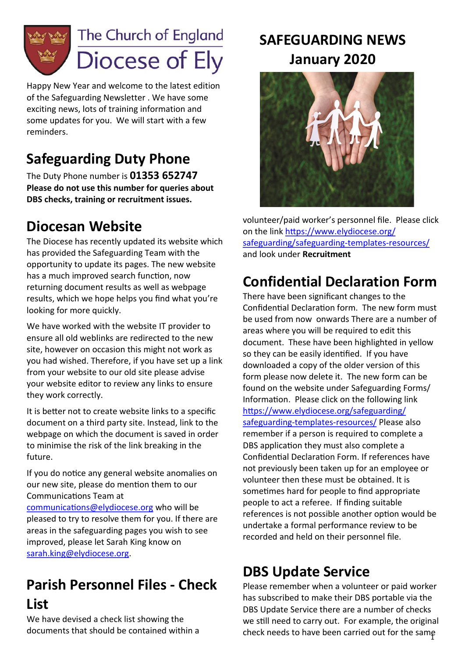

Happy New Year and welcome to the latest edition of the Safeguarding Newsletter . We have some exciting news, lots of training information and some updates for you. We will start with a few reminders.

# **Safeguarding Duty Phone**

The Duty Phone number is **01353 652747 Please do not use this number for queries about DBS checks, training or recruitment issues.**

#### **Diocesan Website**

The Diocese has recently updated its website which has provided the Safeguarding Team with the opportunity to update its pages. The new website has a much improved search function, now returning document results as well as webpage results, which we hope helps you find what you're looking for more quickly.

We have worked with the website IT provider to ensure all old weblinks are redirected to the new site, however on occasion this might not work as you had wished. Therefore, if you have set up a link from your website to our old site please advise your website editor to review any links to ensure they work correctly.

It is better not to create website links to a specific document on a third party site. Instead, link to the webpage on which the document is saved in order to minimise the risk of the link breaking in the future.

If you do notice any general website anomalies on our new site, please do mention them to our Communications Team at

[communications@elydiocese.org](mailto:communications@elydiocese.org) who will be pleased to try to resolve them for you. If there are areas in the safeguarding pages you wish to see improved, please let Sarah King know on [sarah.king@elydiocese.org.](mailto:sarah.king@elydiocese.org)

# **Parish Personnel Files - Check List**

We have devised a check list showing the documents that should be contained within a

# **SAFEGUARDING NEWS January 2020**



volunteer/paid worker's personnel file. Please click on the link [https://www.elydiocese.org/](https://www.elydiocese.org/safeguarding/safeguarding-templates-resources/) [safeguarding/safeguarding](https://www.elydiocese.org/safeguarding/safeguarding-templates-resources/)-templates-resources/ and look under **Recruitment**

# **Confidential Declaration Form**

There have been significant changes to the Confidential Declaration form. The new form must be used from now onwards There are a number of areas where you will be required to edit this document. These have been highlighted in yellow so they can be easily identified. If you have downloaded a copy of the older version of this form please now delete it. The new form can be found on the website under Safeguarding Forms/ Information. Please click on the following link [https://www.elydiocese.org/safeguarding/](https://www.elydiocese.org/safeguarding/safeguarding-templates-resources/) [safeguarding](https://www.elydiocese.org/safeguarding/safeguarding-templates-resources/)-templates-resources/ Please also remember if a person is required to complete a DBS application they must also complete a Confidential Declaration Form. If references have not previously been taken up for an employee or volunteer then these must be obtained. It is sometimes hard for people to find appropriate people to act a referee. If finding suitable references is not possible another option would be undertake a formal performance review to be recorded and held on their personnel file.

### **DBS Update Service**

check needs to have been carried out for the same Please remember when a volunteer or paid worker has subscribed to make their DBS portable via the DBS Update Service there are a number of checks we still need to carry out. For example, the original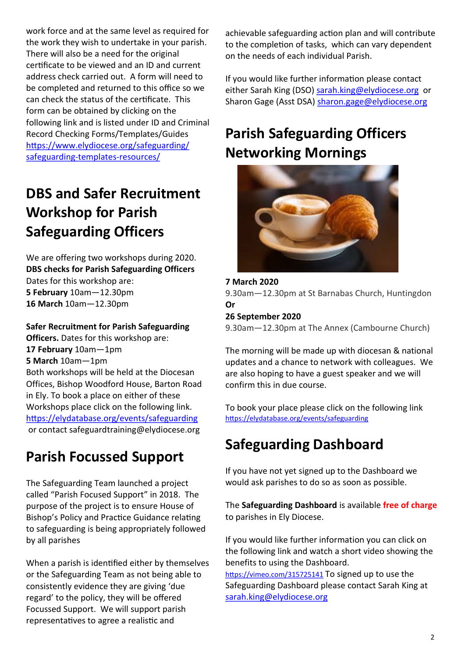work force and at the same level as required for the work they wish to undertake in your parish. There will also be a need for the original certificate to be viewed and an ID and current address check carried out. A form will need to be completed and returned to this office so we can check the status of the certificate. This form can be obtained by clicking on the following link and is listed under ID and Criminal Record Checking Forms/Templates/Guides [https://www.elydiocese.org/safeguarding/](https://www.elydiocese.org/safeguarding/safeguarding-templates-resources/) [safeguarding](https://www.elydiocese.org/safeguarding/safeguarding-templates-resources/)-templates-resources/

# **DBS and Safer Recruitment Workshop for Parish Safeguarding Officers**

We are offering two workshops during 2020. **DBS checks for Parish Safeguarding Officers** Dates for this workshop are: **5 February** 10am—12.30pm **16 March** 10am—12.30pm

**Safer Recruitment for Parish Safeguarding Officers.** Dates for this workshop are: **17 February** 10am—1pm **5 March** 10am—1pm Both workshops will be held at the Diocesan Offices, Bishop Woodford House, Barton Road in Ely. To book a place on either of these Workshops place click on the following link. <https://elydatabase.org/events/safeguarding> or contact safeguardtraining@elydiocese.org

### **Parish Focussed Support**

The Safeguarding Team launched a project called "Parish Focused Support" in 2018. The purpose of the project is to ensure House of Bishop's Policy and Practice Guidance relating to safeguarding is being appropriately followed by all parishes

When a parish is identified either by themselves or the Safeguarding Team as not being able to consistently evidence they are giving 'due regard' to the policy, they will be offered Focussed Support. We will support parish representatives to agree a realistic and

achievable safeguarding action plan and will contribute to the completion of tasks, which can vary dependent on the needs of each individual Parish.

If you would like further information please contact either Sarah King (DSO) [sarah.king@elydiocese.org](mailto:sarah.king@elydiocese.org) or Sharon Gage (Asst DSA) [sharon.gage@elydiocese.org](mailto:sharon.gage@elydiocese.org)

# **Parish Safeguarding Officers Networking Mornings**



**7 March 2020** 9.30am—12.30pm at St Barnabas Church, Huntingdon **Or 26 September 2020**

9.30am—12.30pm at The Annex (Cambourne Church)

The morning will be made up with diocesan & national updates and a chance to network with colleagues. We are also hoping to have a guest speaker and we will confirm this in due course.

To book your place please click on the following link <https://elydatabase.org/events/safeguarding>

### **Safeguarding Dashboard**

If you have not yet signed up to the Dashboard we would ask parishes to do so as soon as possible.

The **Safeguarding Dashboard** is available **free of charge**  to parishes in Ely Diocese.

If you would like further information you can click on the following link and watch a short video showing the benefits to using the Dashboard.

<https://vimeo.com/315725141> To signed up to use the Safeguarding Dashboard please contact Sarah King at [sarah.king@elydiocese.org](mailto:sarah.king@elydiocese.org)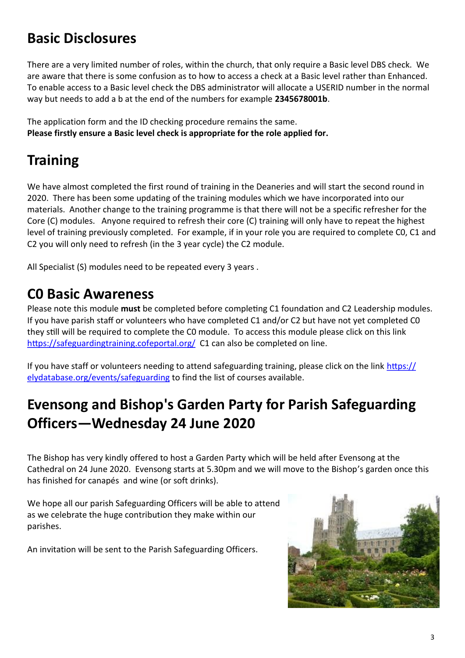# **Basic Disclosures**

There are a very limited number of roles, within the church, that only require a Basic level DBS check. We are aware that there is some confusion as to how to access a check at a Basic level rather than Enhanced. To enable access to a Basic level check the DBS administrator will allocate a USERID number in the normal way but needs to add a b at the end of the numbers for example **2345678001b**.

The application form and the ID checking procedure remains the same. **Please firstly ensure a Basic level check is appropriate for the role applied for.**

# **Training**

We have almost completed the first round of training in the Deaneries and will start the second round in 2020. There has been some updating of the training modules which we have incorporated into our materials. Another change to the training programme is that there will not be a specific refresher for the Core (C) modules. Anyone required to refresh their core (C) training will only have to repeat the highest level of training previously completed. For example, if in your role you are required to complete C0, C1 and C2 you will only need to refresh (in the 3 year cycle) the C2 module.

All Specialist (S) modules need to be repeated every 3 years .

#### **C0 Basic Awareness**

Please note this module **must** be completed before completing C1 foundation and C2 Leadership modules. If you have parish staff or volunteers who have completed C1 and/or C2 but have not yet completed C0 they still will be required to complete the C0 module. To access this module please click on this link <https://safeguardingtraining.cofeportal.org/>C1 can also be completed on line.

If you have staff or volunteers needing to attend safeguarding training, please click on the link [https://](https://elydatabase.org/events/safeguarding) [elydatabase.org/events/safeguarding](https://elydatabase.org/events/safeguarding) to find the list of courses available.

# **Evensong and Bishop's Garden Party for Parish Safeguarding Officers—Wednesday 24 June 2020**

The Bishop has very kindly offered to host a Garden Party which will be held after Evensong at the Cathedral on 24 June 2020. Evensong starts at 5.30pm and we will move to the Bishop's garden once this has finished for canapés and wine (or soft drinks).

We hope all our parish Safeguarding Officers will be able to attend as we celebrate the huge contribution they make within our parishes.

An invitation will be sent to the Parish Safeguarding Officers.